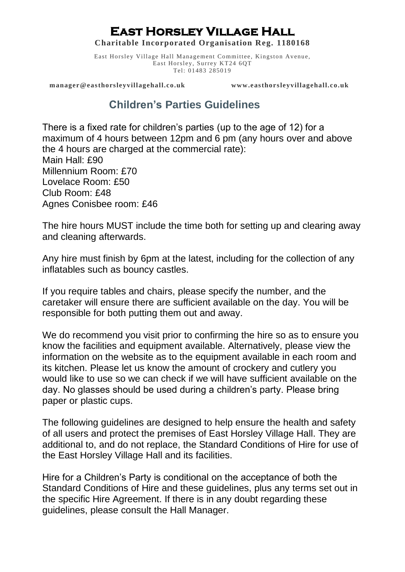## **East Horsley Village Hall**

**Charitable Incorporated Organisation Reg. 1180168**

East Horsley Village Hall Management Committee, Kingston Avenue, East Horsley, Surrey KT24 6QT Tel: 01483 285019

 **manager@easthorsleyvillagehall.co.uk [www.easthorsleyvillagehall.co.uk](http://www.easthorsleyvillagehall.co.uk/)**

## **Children's Parties Guidelines**

There is a fixed rate for children's parties (up to the age of 12) for a maximum of 4 hours between 12pm and 6 pm (any hours over and above the 4 hours are charged at the commercial rate): Main Hall: £90 Millennium Room: £70 Lovelace Room: £50 Club Room: £48 Agnes Conisbee room: £46

The hire hours MUST include the time both for setting up and clearing away and cleaning afterwards.

Any hire must finish by 6pm at the latest, including for the collection of any inflatables such as bouncy castles.

If you require tables and chairs, please specify the number, and the caretaker will ensure there are sufficient available on the day. You will be responsible for both putting them out and away.

We do recommend you visit prior to confirming the hire so as to ensure you know the facilities and equipment available. Alternatively, please view the information on the website as to the equipment available in each room and its kitchen. Please let us know the amount of crockery and cutlery you would like to use so we can check if we will have sufficient available on the day. No glasses should be used during a children's party. Please bring paper or plastic cups.

The following guidelines are designed to help ensure the health and safety of all users and protect the premises of East Horsley Village Hall. They are additional to, and do not replace, the Standard Conditions of Hire for use of the East Horsley Village Hall and its facilities.

Hire for a Children's Party is conditional on the acceptance of both the Standard Conditions of Hire and these guidelines, plus any terms set out in the specific Hire Agreement. If there is in any doubt regarding these guidelines, please consult the Hall Manager.